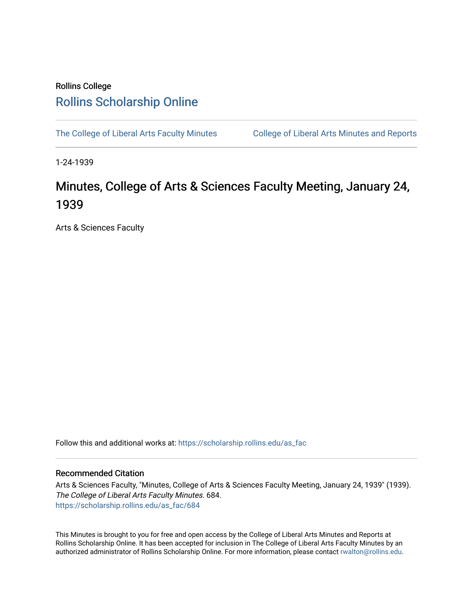## Rollins College [Rollins Scholarship Online](https://scholarship.rollins.edu/)

[The College of Liberal Arts Faculty Minutes](https://scholarship.rollins.edu/as_fac) College of Liberal Arts Minutes and Reports

1-24-1939

## Minutes, College of Arts & Sciences Faculty Meeting, January 24, 1939

Arts & Sciences Faculty

Follow this and additional works at: [https://scholarship.rollins.edu/as\\_fac](https://scholarship.rollins.edu/as_fac?utm_source=scholarship.rollins.edu%2Fas_fac%2F684&utm_medium=PDF&utm_campaign=PDFCoverPages) 

## Recommended Citation

Arts & Sciences Faculty, "Minutes, College of Arts & Sciences Faculty Meeting, January 24, 1939" (1939). The College of Liberal Arts Faculty Minutes. 684. [https://scholarship.rollins.edu/as\\_fac/684](https://scholarship.rollins.edu/as_fac/684?utm_source=scholarship.rollins.edu%2Fas_fac%2F684&utm_medium=PDF&utm_campaign=PDFCoverPages) 

This Minutes is brought to you for free and open access by the College of Liberal Arts Minutes and Reports at Rollins Scholarship Online. It has been accepted for inclusion in The College of Liberal Arts Faculty Minutes by an authorized administrator of Rollins Scholarship Online. For more information, please contact [rwalton@rollins.edu](mailto:rwalton@rollins.edu).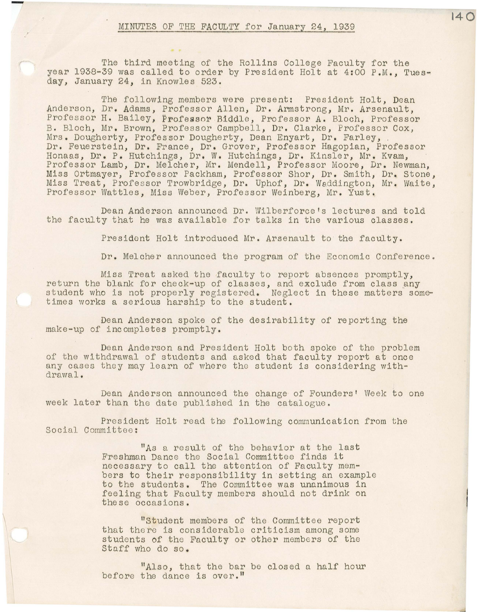The third meeting of the Rollins College Faculty for the year 1938-39 was called to order by President Holt at 4:00 P.M., Tuesday, January 24, in Knowles 523.

The following members were present: President Holt, Dean Anderson, Dr. Adams, Professor Allen, Dr. Armstrong, Mr. Arsenault, Professor H. Bailey, Professor Biddle, Professor A. Bloch, Professor B. Bloch, Mr. Brown, Professor Campbell, Dr. Clarke, Professor Cox, Mrs. Dougherty, Professor Dougherty, Dean Enyart, Dr. Farley, . Dr. Feuerstein, Dr. France, Dr. Grover, Professor Hagopian, Professor Honaas, Dr. P. Hutchings, Dr. W. Hutchings, Dr. Kinsler, Mr. Kvam, Professor Lamb, Dr. Melcher, Mr. Mendell, Professor Moore, Dr. Newman, Miss Ortmayer, Professor Packham, Professor Shor, Dr. Smith, Dr. Stone, Miss Treat, Professor Trowbridge, Dr. Uphof, Dr. Waddington, Mr. Waite, Professor Wattles, Miss Weber, Professor Weinberg, Mr. Yust.

Dean Anderson announced Dr. Wilberforce's lectures and told the faculty that he was available for talks in the various classes.

President Holt introduced Mr. Arsenault to the faculty.

Dr. Melcher announced the program of the Economic Conference.

Miss Treat asked the £aculty to report absences promptly, return the blank for check-up of classes, and exclude from class any student who is not properly registered. Neglect in these matters sometimes works a serious harship to the student.

Dean Anderson spoke of the desirability of reporting the make-up of incompletes promptly.

Dean Anderson and President Holt both spoke of the problem of the withdrawal of students and asked that faculty report at once any cases they may learn of where the student is considering withdrawal.

Dean Anderson announced the change of Founders' Week to one week later than the date published in the catalogue.

President Holt read the following communication from the Social Committee:

> "As a result of the behavior at the last Freshman Dance the Social Committee finds it necessary to call the attention of Faculty members to their responsibility in setting an example to the students. The Committee was unanimous in feeling that Faculty members should not drink on the se occasions.

"Student members of the Committee report that there is considerable criticism among some students of the Faculty or other members of the Staff who do so.

"Also, that the bar be closed a half hour before the dance is over."

**140**